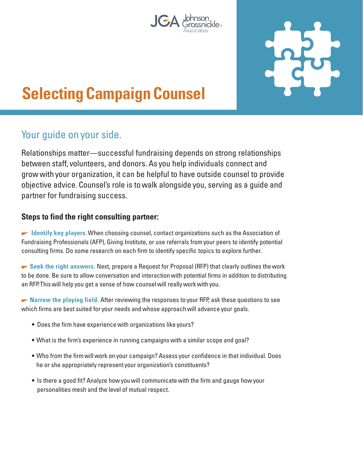



# **Selecting Campaign Counsel**

# Your guide on your side.

Relationships matter—successful fundraising depends on strong relationships between staff, volunteers, and donors. As you help individuals connect and grow with your organization, it can be helpful to have outside counsel to provide objective advice. Counsel's role is to walk alongside you, serving as a guide and partner for fundraising success.

## **Steps to find the right consulting partner:**

 **Identify key players.** When choosing counsel, contact organizations such as the Association of Fundraising Professionals (AFP), Giving Institute, or use referrals from your peers to identify potential consulting firms. Do some research on each firm to identify specific topics to explore further.

► Seek the right answers. Next, prepare a Request for Proposal (RFP) that clearly outlines the work to be done. Be sure to allow conversation and interaction with potential firms in addition to distributing an RFP. This will help you get a sense of how counsel will really work with you.

**• Narrow the playing field.** After reviewing the responses to your RFP, ask these questions to see which firms are best suited for your needs and whose approach will advance your goals.

- Does the firm have experience with organizations like yours?
- What is the firm's experience in running campaigns with a similar scope and goal?
- Who from the firm will work on your campaign? Assess your confidence in that individual. Does he or she appropriately represent your organization's constituents?
- Is there a good fit? Analyze how you will communicate with the firm and gauge how your personalities mesh and the level of mutual respect.